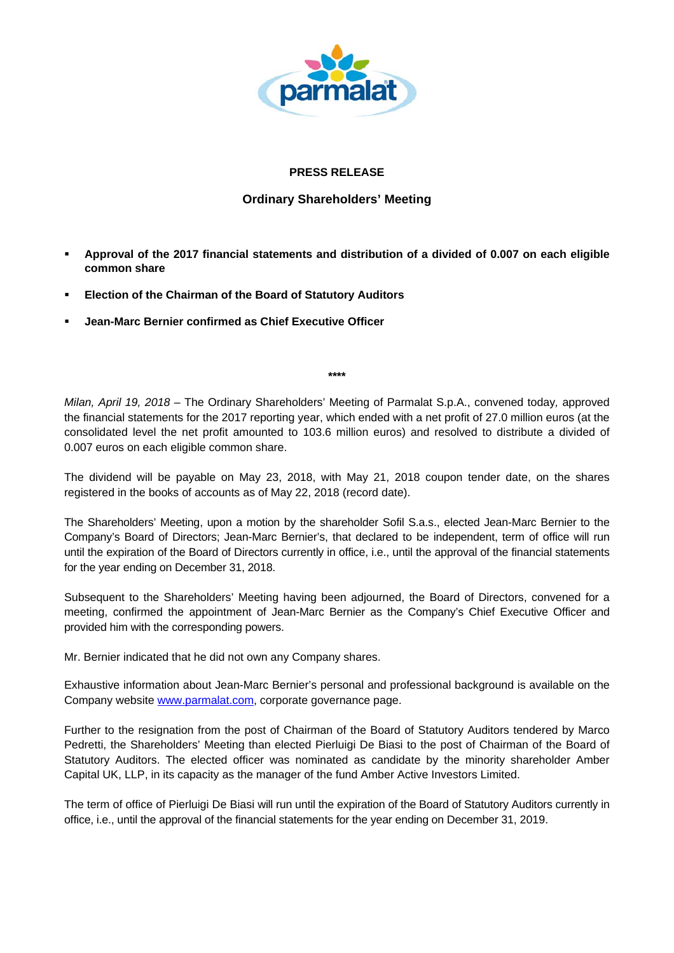

## **PRESS RELEASE**

## **Ordinary Shareholders' Meeting**

- **Approval of the 2017 financial statements and distribution of a divided of 0.007 on each eligible common share**
- **Election of the Chairman of the Board of Statutory Auditors**
- **Jean-Marc Bernier confirmed as Chief Executive Officer**

**\*\*\*\*** 

*Milan, April 19, 2018 –* The Ordinary Shareholders' Meeting of Parmalat S.p.A., convened today*,* approved the financial statements for the 2017 reporting year, which ended with a net profit of 27.0 million euros (at the consolidated level the net profit amounted to 103.6 million euros) and resolved to distribute a divided of 0.007 euros on each eligible common share.

The dividend will be payable on May 23, 2018, with May 21, 2018 coupon tender date, on the shares registered in the books of accounts as of May 22, 2018 (record date).

The Shareholders' Meeting, upon a motion by the shareholder Sofil S.a.s., elected Jean-Marc Bernier to the Company's Board of Directors; Jean-Marc Bernier's, that declared to be independent, term of office will run until the expiration of the Board of Directors currently in office, i.e., until the approval of the financial statements for the year ending on December 31, 2018.

Subsequent to the Shareholders' Meeting having been adjourned, the Board of Directors, convened for a meeting, confirmed the appointment of Jean-Marc Bernier as the Company's Chief Executive Officer and provided him with the corresponding powers.

Mr. Bernier indicated that he did not own any Company shares.

Exhaustive information about Jean-Marc Bernier's personal and professional background is available on the Company website www.parmalat.com, corporate governance page.

Further to the resignation from the post of Chairman of the Board of Statutory Auditors tendered by Marco Pedretti, the Shareholders' Meeting than elected Pierluigi De Biasi to the post of Chairman of the Board of Statutory Auditors. The elected officer was nominated as candidate by the minority shareholder Amber Capital UK, LLP, in its capacity as the manager of the fund Amber Active Investors Limited.

The term of office of Pierluigi De Biasi will run until the expiration of the Board of Statutory Auditors currently in office, i.e., until the approval of the financial statements for the year ending on December 31, 2019.